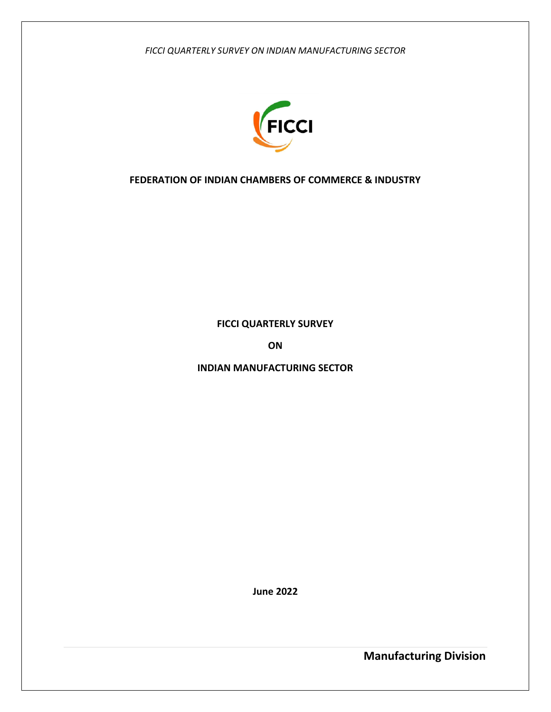

### **FEDERATION OF INDIAN CHAMBERS OF COMMERCE & INDUSTRY**

**FICCI QUARTERLY SURVEY**

**ON**

**INDIAN MANUFACTURING SECTOR**

**June 2022**

**Manufacturing Division**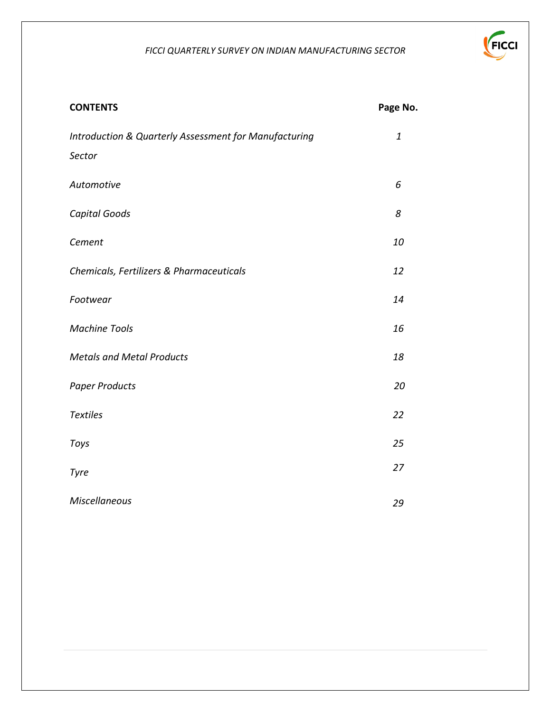

| <b>CONTENTS</b>                                       | Page No.     |
|-------------------------------------------------------|--------------|
| Introduction & Quarterly Assessment for Manufacturing | $\mathbf{1}$ |
| Sector                                                |              |
| Automotive                                            | 6            |
| Capital Goods                                         | 8            |
| Cement                                                | 10           |
| Chemicals, Fertilizers & Pharmaceuticals              | 12           |
| Footwear                                              | 14           |
| <b>Machine Tools</b>                                  | 16           |
| <b>Metals and Metal Products</b>                      | 18           |
| <b>Paper Products</b>                                 | 20           |
| <b>Textiles</b>                                       | 22           |
| Toys                                                  | 25           |
| Tyre                                                  | 27           |
| <b>Miscellaneous</b>                                  | 29           |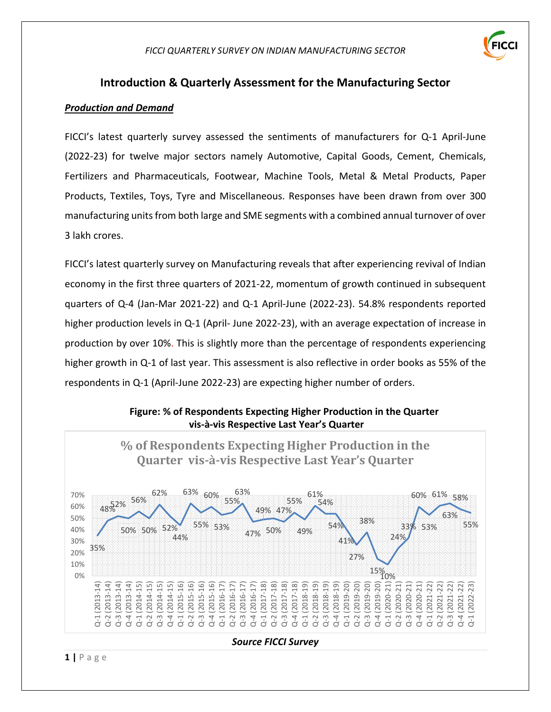

# **Introduction & Quarterly Assessment for the Manufacturing Sector**

#### *Production and Demand*

FICCI's latest quarterly survey assessed the sentiments of manufacturers for Q-1 April-June (2022-23) for twelve major sectors namely Automotive, Capital Goods, Cement, Chemicals, Fertilizers and Pharmaceuticals, Footwear, Machine Tools, Metal & Metal Products, Paper Products, Textiles, Toys, Tyre and Miscellaneous. Responses have been drawn from over 300 manufacturing units from both large and SME segments with a combined annual turnover of over 3 lakh crores.

FICCI's latest quarterly survey on Manufacturing reveals that after experiencing revival of Indian economy in the first three quarters of 2021-22, momentum of growth continued in subsequent quarters of Q-4 (Jan-Mar 2021-22) and Q-1 April-June (2022-23). 54.8% respondents reported higher production levels in Q-1 (April- June 2022-23), with an average expectation of increase in production by over 10%. This is slightly more than the percentage of respondents experiencing higher growth in Q-1 of last year. This assessment is also reflective in order books as 55% of the respondents in Q-1 (April-June 2022-23) are expecting higher number of orders.

### **Figure: % of Respondents Expecting Higher Production in the Quarter vis-à-vis Respective Last Year's Quarter**

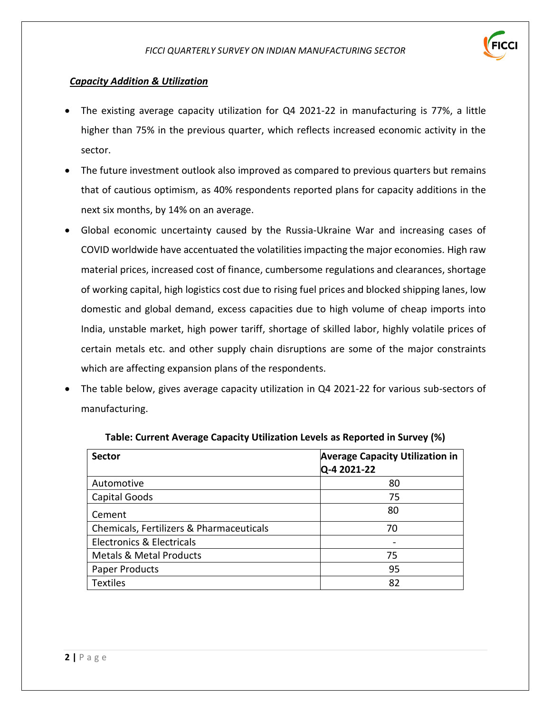

# *Capacity Addition & Utilization*

- The existing average capacity utilization for Q4 2021-22 in manufacturing is 77%, a little higher than 75% in the previous quarter, which reflects increased economic activity in the sector.
- The future investment outlook also improved as compared to previous quarters but remains that of cautious optimism, as 40% respondents reported plans for capacity additions in the next six months, by 14% on an average.
- Global economic uncertainty caused by the Russia-Ukraine War and increasing cases of COVID worldwide have accentuated the volatilities impacting the major economies*.* High raw material prices, increased cost of finance, cumbersome regulations and clearances, shortage of working capital, high logistics cost due to rising fuel prices and blocked shipping lanes, low domestic and global demand, excess capacities due to high volume of cheap imports into India, unstable market, high power tariff, shortage of skilled labor, highly volatile prices of certain metals etc. and other supply chain disruptions are some of the major constraints which are affecting expansion plans of the respondents.
- The table below, gives average capacity utilization in Q4 2021-22 for various sub-sectors of manufacturing.

| <b>Sector</b>                            | <b>Average Capacity Utilization in</b><br>Q-4 2021-22 |
|------------------------------------------|-------------------------------------------------------|
| Automotive                               | 80                                                    |
| Capital Goods                            | 75                                                    |
| Cement                                   | 80                                                    |
| Chemicals, Fertilizers & Pharmaceuticals | 70                                                    |
| <b>Electronics &amp; Electricals</b>     |                                                       |
| <b>Metals &amp; Metal Products</b>       | 75                                                    |
| <b>Paper Products</b>                    | 95                                                    |
| <b>Textiles</b>                          | 82                                                    |

#### **Table: Current Average Capacity Utilization Levels as Reported in Survey (%)**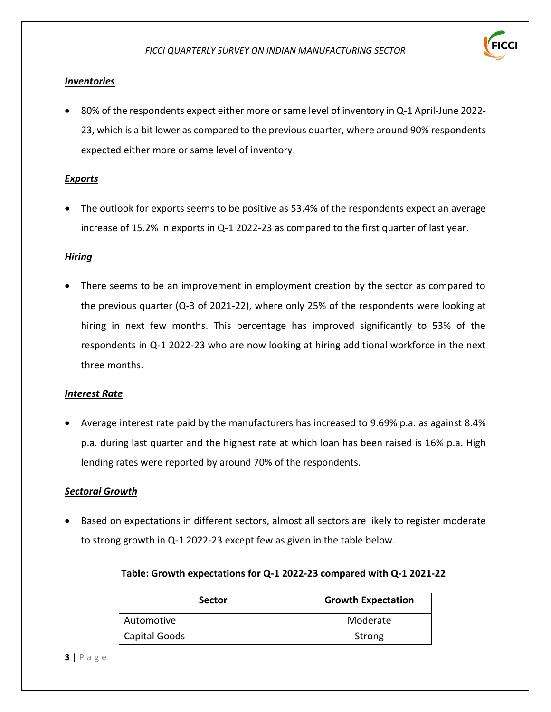

# *Inventories*

• 80% of the respondents expect either more or same level of inventory in Q-1 April-June 2022- 23, which is a bit lower as compared to the previous quarter, where around 90% respondents expected either more or same level of inventory.

# *Exports*

• The outlook for exports seems to be positive as 53.4% of the respondents expect an average increase of 15.2% in exports in Q-1 2022-23 as compared to the first quarter of last year.

#### *Hiring*

• There seems to be an improvement in employment creation by the sector as compared to the previous quarter (Q-3 of 2021-22), where only 25% of the respondents were looking at hiring in next few months. This percentage has improved significantly to 53% of the respondents in Q-1 2022-23 who are now looking at hiring additional workforce in the next three months.

#### *Interest Rate*

• Average interest rate paid by the manufacturers has increased to 9.69% p.a. as against 8.4% p.a. during last quarter and the highest rate at which loan has been raised is 16% p.a. High lending rates were reported by around 70% of the respondents.

# *Sectoral Growth*

• Based on expectations in different sectors, almost all sectors are likely to register moderate to strong growth in Q-1 2022-23 except few as given in the table below.

| <b>Sector</b> | <b>Growth Expectation</b> |
|---------------|---------------------------|
| Automotive    | Moderate                  |
| Capital Goods | Strong                    |

# **Table: Growth expectations for Q-1 2022-23 compared with Q-1 2021-22**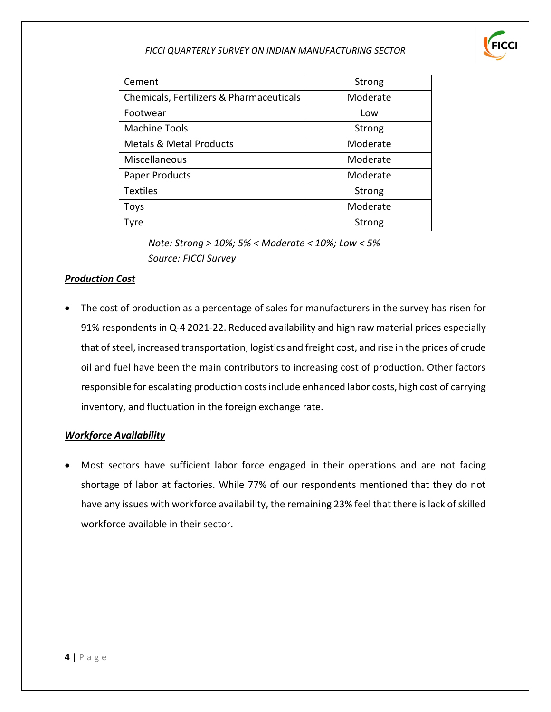| Cement                                   | Strong   |
|------------------------------------------|----------|
| Chemicals, Fertilizers & Pharmaceuticals | Moderate |
| Footwear                                 | Low      |
| <b>Machine Tools</b>                     | Strong   |
| <b>Metals &amp; Metal Products</b>       | Moderate |
| Miscellaneous                            | Moderate |
| <b>Paper Products</b>                    | Moderate |
| <b>Textiles</b>                          | Strong   |
| <b>Toys</b>                              | Moderate |
| Tyre                                     | Strong   |

*Note: Strong > 10%; 5% < Moderate < 10%; Low < 5% Source: FICCI Survey*

### *Production Cost*

• The cost of production as a percentage of sales for manufacturers in the survey has risen for 91% respondents in Q-4 2021-22. Reduced availability and high raw material prices especially that of steel, increased transportation, logistics and freight cost, and rise in the prices of crude oil and fuel have been the main contributors to increasing cost of production. Other factors responsible for escalating production costs include enhanced labor costs, high cost of carrying inventory, and fluctuation in the foreign exchange rate.

#### *Workforce Availability*

• Most sectors have sufficient labor force engaged in their operations and are not facing shortage of labor at factories. While 77% of our respondents mentioned that they do not have any issues with workforce availability, the remaining 23% feel that there is lack of skilled workforce available in their sector.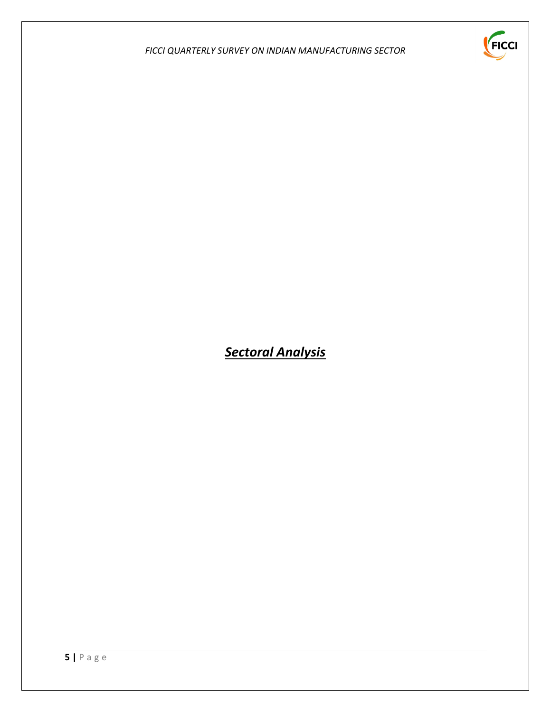

# *Sectoral Analysis*

**5 |** P a g e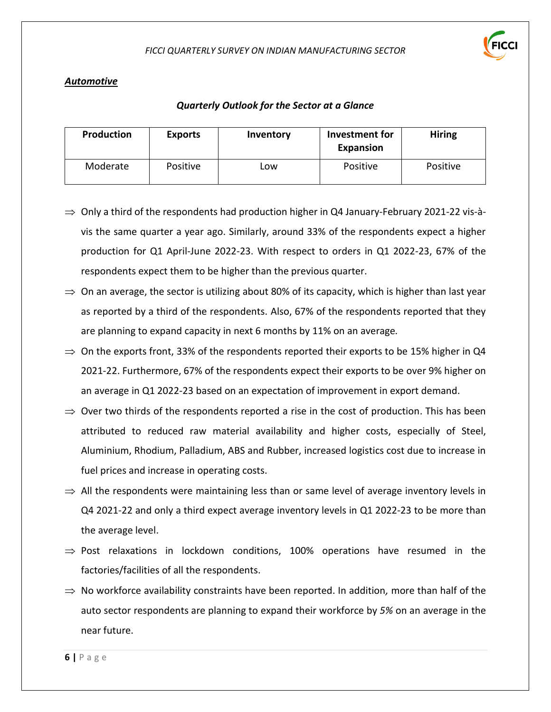

#### *Automotive*

| <b>Production</b> | <b>Exports</b> | Inventory  | Investment for<br>Expansion | <b>Hiring</b> |
|-------------------|----------------|------------|-----------------------------|---------------|
| Moderate          | Positive       | <b>LOW</b> | Positive                    | Positive      |

- $\Rightarrow$  Only a third of the respondents had production higher in Q4 January-February 2021-22 vis-àvis the same quarter a year ago. Similarly, around 33% of the respondents expect a higher production for Q1 April-June 2022-23. With respect to orders in Q1 2022-23, 67% of the respondents expect them to be higher than the previous quarter.
- $\Rightarrow$  On an average, the sector is utilizing about 80% of its capacity, which is higher than last year as reported by a third of the respondents. Also, 67% of the respondents reported that they are planning to expand capacity in next 6 months by 11% on an average*.*
- $\Rightarrow$  On the exports front, 33% of the respondents reported their exports to be 15% higher in Q4 2021-22. Furthermore, 67% of the respondents expect their exports to be over 9% higher on an average in Q1 2022-23 based on an expectation of improvement in export demand.
- $\Rightarrow$  Over two thirds of the respondents reported a rise in the cost of production. This has been attributed to reduced raw material availability and higher costs, especially of Steel, Aluminium, Rhodium, Palladium, ABS and Rubber, increased logistics cost due to increase in fuel prices and increase in operating costs.
- $\Rightarrow$  All the respondents were maintaining less than or same level of average inventory levels in Q4 2021-22 and only a third expect average inventory levels in Q1 2022-23 to be more than the average level.
- $\Rightarrow$  Post relaxations in lockdown conditions, 100% operations have resumed in the factories/facilities of all the respondents.
- ⇒ No workforce availability constraints have been reported. In addition, more than half of the auto sector respondents are planning to expand their workforce by *5%* on an average in the near future.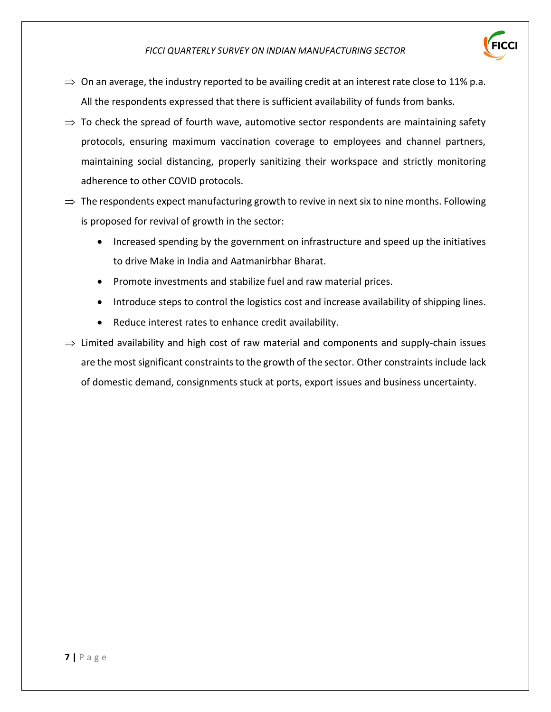

- $\Rightarrow$  On an average, the industry reported to be availing credit at an interest rate close to 11% p.a. All the respondents expressed that there is sufficient availability of funds from banks.
- $\Rightarrow$  To check the spread of fourth wave, automotive sector respondents are maintaining safety protocols, ensuring maximum vaccination coverage to employees and channel partners, maintaining social distancing, properly sanitizing their workspace and strictly monitoring adherence to other COVID protocols.
- $\Rightarrow$  The respondents expect manufacturing growth to revive in next six to nine months. Following is proposed for revival of growth in the sector:
	- Increased spending by the government on infrastructure and speed up the initiatives to drive Make in India and Aatmanirbhar Bharat.
	- Promote investments and stabilize fuel and raw material prices.
	- Introduce steps to control the logistics cost and increase availability of shipping lines.
	- Reduce interest rates to enhance credit availability.

 $\Rightarrow$  Limited availability and high cost of raw material and components and supply-chain issues are the most significant constraints to the growth of the sector. Other constraints include lack of domestic demand, consignments stuck at ports, export issues and business uncertainty.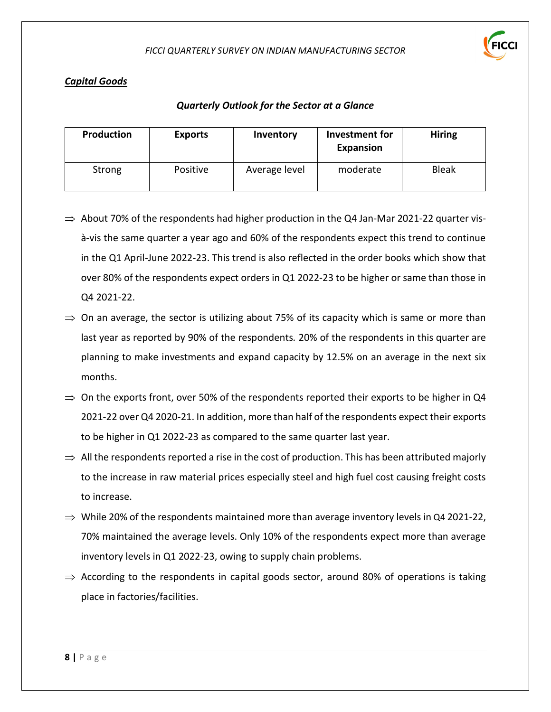

# *Capital Goods*

| <b>Production</b> | <b>Exports</b> | Inventory     | Investment for<br><b>Expansion</b> | <b>Hiring</b> |
|-------------------|----------------|---------------|------------------------------------|---------------|
| Strong            | Positive       | Average level | moderate                           | <b>Bleak</b>  |

- $\Rightarrow$  About 70% of the respondents had higher production in the Q4 Jan-Mar 2021-22 quarter visà-vis the same quarter a year ago and 60% of the respondents expect this trend to continue in the Q1 April-June 2022-23. This trend is also reflected in the order books which show that over 80% of the respondents expect orders in Q1 2022-23 to be higher or same than those in Q4 2021-22.
- $\Rightarrow$  On an average, the sector is utilizing about 75% of its capacity which is same or more than last year as reported by 90% of the respondents*.* 20% of the respondents in this quarter are planning to make investments and expand capacity by 12.5% on an average in the next six months.
- $\Rightarrow$  On the exports front, over 50% of the respondents reported their exports to be higher in Q4 2021-22 over Q4 2020-21. In addition, more than half of the respondents expect their exports to be higher in Q1 2022-23 as compared to the same quarter last year.
- $\Rightarrow$  All the respondents reported a rise in the cost of production. This has been attributed majorly to the increase in raw material prices especially steel and high fuel cost causing freight costs to increase.
- $\Rightarrow$  While 20% of the respondents maintained more than average inventory levels in Q4 2021-22, 70% maintained the average levels. Only 10% of the respondents expect more than average inventory levels in Q1 2022-23, owing to supply chain problems.
- $\Rightarrow$  According to the respondents in capital goods sector, around 80% of operations is taking place in factories/facilities.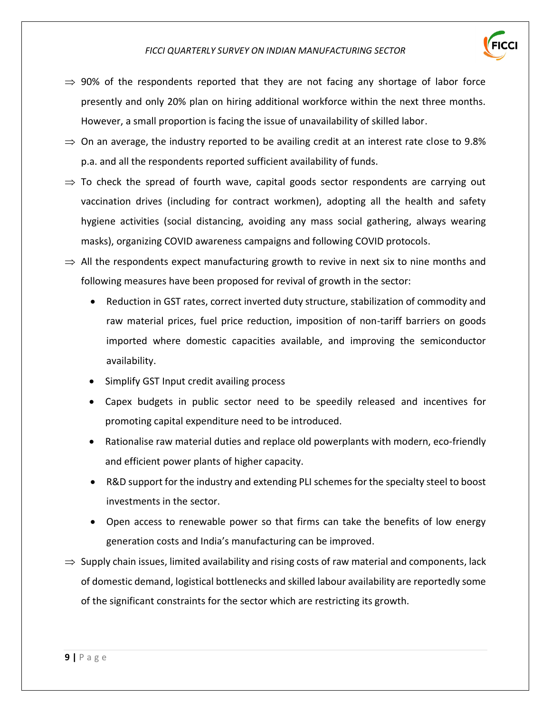

- $\Rightarrow$  90% of the respondents reported that they are not facing any shortage of labor force presently and only 20% plan on hiring additional workforce within the next three months. However, a small proportion is facing the issue of unavailability of skilled labor.
- $\Rightarrow$  On an average, the industry reported to be availing credit at an interest rate close to 9.8% p.a. and all the respondents reported sufficient availability of funds.
- $\Rightarrow$  To check the spread of fourth wave, capital goods sector respondents are carrying out vaccination drives (including for contract workmen), adopting all the health and safety hygiene activities (social distancing, avoiding any mass social gathering, always wearing masks), organizing COVID awareness campaigns and following COVID protocols.
- $\Rightarrow$  All the respondents expect manufacturing growth to revive in next six to nine months and following measures have been proposed for revival of growth in the sector:
	- Reduction in GST rates, correct inverted duty structure, stabilization of commodity and raw material prices, fuel price reduction, imposition of non-tariff barriers on goods imported where domestic capacities available, and improving the semiconductor availability.
	- Simplify GST Input credit availing process
	- Capex budgets in public sector need to be speedily released and incentives for promoting capital expenditure need to be introduced.
	- Rationalise raw material duties and replace old powerplants with modern, eco-friendly and efficient power plants of higher capacity.
	- R&D support for the industry and extending PLI schemes for the specialty steel to boost investments in the sector.
	- Open access to renewable power so that firms can take the benefits of low energy generation costs and India's manufacturing can be improved.
- $\Rightarrow$  Supply chain issues, limited availability and rising costs of raw material and components, lack of domestic demand, logistical bottlenecks and skilled labour availability are reportedly some of the significant constraints for the sector which are restricting its growth.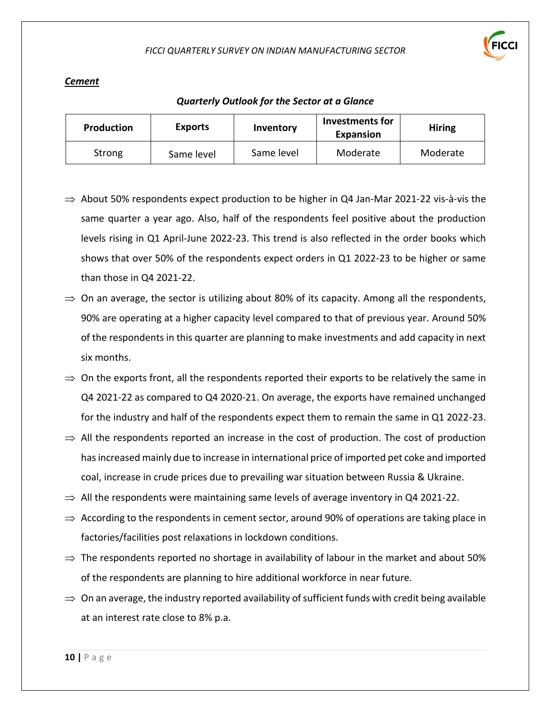

#### *Cement*

| <b>Production</b> | <b>Exports</b> | Inventory  | Investments for<br>Expansion | <b>Hiring</b> |
|-------------------|----------------|------------|------------------------------|---------------|
| Strong            | Same level     | Same level | Moderate                     | Moderate      |

- $\Rightarrow$  About 50% respondents expect production to be higher in Q4 Jan-Mar 2021-22 vis-à-vis the same quarter a year ago. Also, half of the respondents feel positive about the production levels rising in Q1 April-June 2022-23. This trend is also reflected in the order books which shows that over 50% of the respondents expect orders in Q1 2022-23 to be higher or same than those in Q4 2021-22.
- $\Rightarrow$  On an average, the sector is utilizing about 80% of its capacity. Among all the respondents, 90% are operating at a higher capacity level compared to that of previous year. Around 50% of the respondents in this quarter are planning to make investments and add capacity in next six months.
- $\Rightarrow$  On the exports front, all the respondents reported their exports to be relatively the same in Q4 2021-22 as compared to Q4 2020-21. On average, the exports have remained unchanged for the industry and half of the respondents expect them to remain the same in Q1 2022-23.
- $\Rightarrow$  All the respondents reported an increase in the cost of production. The cost of production has increased mainly due to increase in international price of imported pet coke and imported coal, increase in crude prices due to prevailing war situation between Russia & Ukraine.
- $\Rightarrow$  All the respondents were maintaining same levels of average inventory in Q4 2021-22.
- $\Rightarrow$  According to the respondents in cement sector, around 90% of operations are taking place in factories/facilities post relaxations in lockdown conditions.
- $\Rightarrow$  The respondents reported no shortage in availability of labour in the market and about 50% of the respondents are planning to hire additional workforce in near future.
- $\Rightarrow$  On an average, the industry reported availability of sufficient funds with credit being available at an interest rate close to 8% p.a.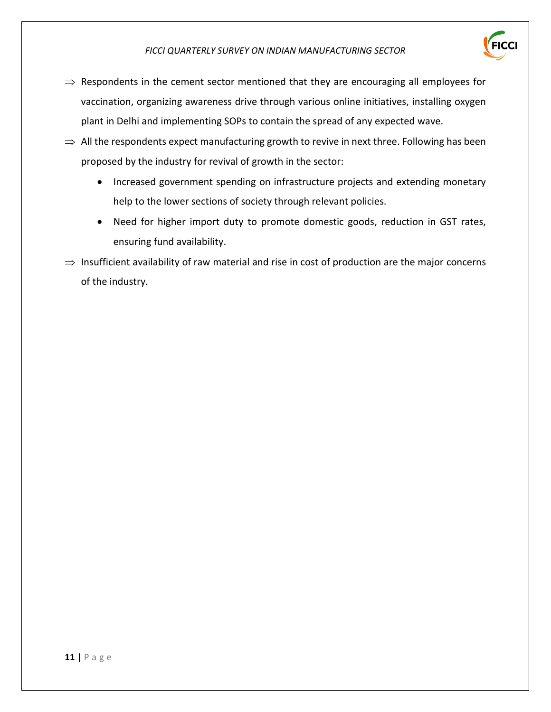

- $\Rightarrow$  Respondents in the cement sector mentioned that they are encouraging all employees for vaccination, organizing awareness drive through various online initiatives, installing oxygen plant in Delhi and implementing SOPs to contain the spread of any expected wave.
- $\Rightarrow$  All the respondents expect manufacturing growth to revive in next three. Following has been proposed by the industry for revival of growth in the sector:
	- Increased government spending on infrastructure projects and extending monetary help to the lower sections of society through relevant policies.
	- Need for higher import duty to promote domestic goods, reduction in GST rates, ensuring fund availability.
- $\Rightarrow$  Insufficient availability of raw material and rise in cost of production are the major concerns of the industry.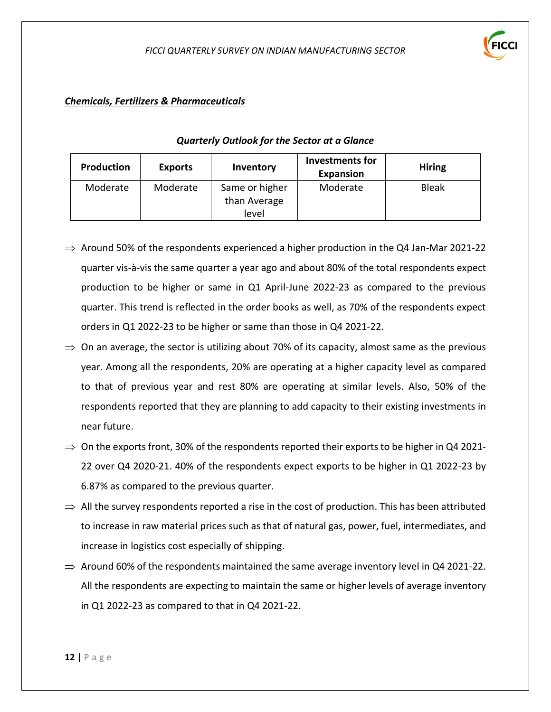# *Chemicals, Fertilizers & Pharmaceuticals*

| Production | <b>Exports</b> | Inventory      | <b>Investments for</b><br><b>Expansion</b> | <b>Hiring</b> |
|------------|----------------|----------------|--------------------------------------------|---------------|
| Moderate   | Moderate       | Same or higher | Moderate                                   | <b>Bleak</b>  |
|            |                | than Average   |                                            |               |
|            |                | level          |                                            |               |

- $\Rightarrow$  Around 50% of the respondents experienced a higher production in the Q4 Jan-Mar 2021-22 quarter vis-à-vis the same quarter a year ago and about 80% of the total respondents expect production to be higher or same in Q1 April-June 2022-23 as compared to the previous quarter. This trend is reflected in the order books as well, as 70% of the respondents expect orders in Q1 2022-23 to be higher or same than those in Q4 2021-22.
- $\Rightarrow$  On an average, the sector is utilizing about 70% of its capacity, almost same as the previous year. Among all the respondents, 20% are operating at a higher capacity level as compared to that of previous year and rest 80% are operating at similar levels. Also, 50% of the respondents reported that they are planning to add capacity to their existing investments in near future.
- $\Rightarrow$  On the exports front, 30% of the respondents reported their exports to be higher in Q4 2021-22 over Q4 2020-21. 40% of the respondents expect exports to be higher in Q1 2022-23 by 6.87% as compared to the previous quarter.
- $\Rightarrow$  All the survey respondents reported a rise in the cost of production. This has been attributed to increase in raw material prices such as that of natural gas, power, fuel, intermediates, and increase in logistics cost especially of shipping.
- $\Rightarrow$  Around 60% of the respondents maintained the same average inventory level in Q4 2021-22. All the respondents are expecting to maintain the same or higher levels of average inventory in Q1 2022-23 as compared to that in Q4 2021-22.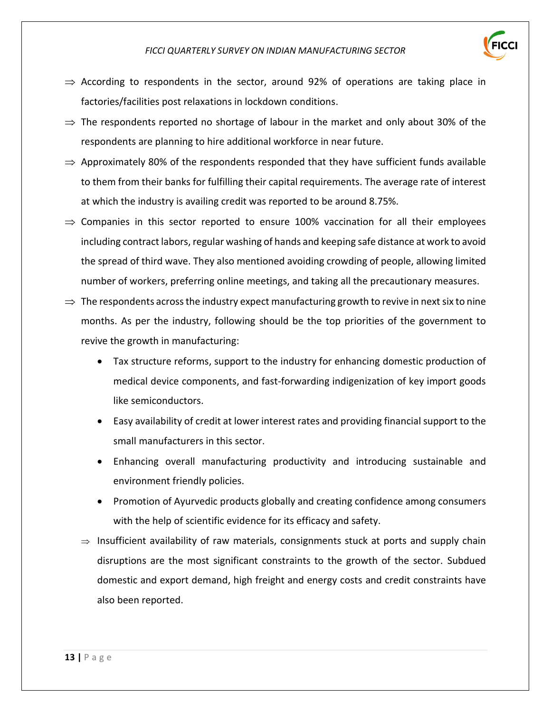

- $\Rightarrow$  According to respondents in the sector, around 92% of operations are taking place in factories/facilities post relaxations in lockdown conditions.
- $\Rightarrow$  The respondents reported no shortage of labour in the market and only about 30% of the respondents are planning to hire additional workforce in near future.
- $\Rightarrow$  Approximately 80% of the respondents responded that they have sufficient funds available to them from their banks for fulfilling their capital requirements. The average rate of interest at which the industry is availing credit was reported to be around 8.75%.
- $\Rightarrow$  Companies in this sector reported to ensure 100% vaccination for all their employees including contract labors, regular washing of hands and keeping safe distance at work to avoid the spread of third wave. They also mentioned avoiding crowding of people, allowing limited number of workers, preferring online meetings, and taking all the precautionary measures.
- $\Rightarrow$  The respondents across the industry expect manufacturing growth to revive in next six to nine months. As per the industry, following should be the top priorities of the government to revive the growth in manufacturing:
	- Tax structure reforms, support to the industry for enhancing domestic production of medical device components, and fast-forwarding indigenization of key import goods like semiconductors.
	- Easy availability of credit at lower interest rates and providing financial support to the small manufacturers in this sector.
	- Enhancing overall manufacturing productivity and introducing sustainable and environment friendly policies.
	- Promotion of Ayurvedic products globally and creating confidence among consumers with the help of scientific evidence for its efficacy and safety.
	- $\Rightarrow$  Insufficient availability of raw materials, consignments stuck at ports and supply chain disruptions are the most significant constraints to the growth of the sector. Subdued domestic and export demand, high freight and energy costs and credit constraints have also been reported.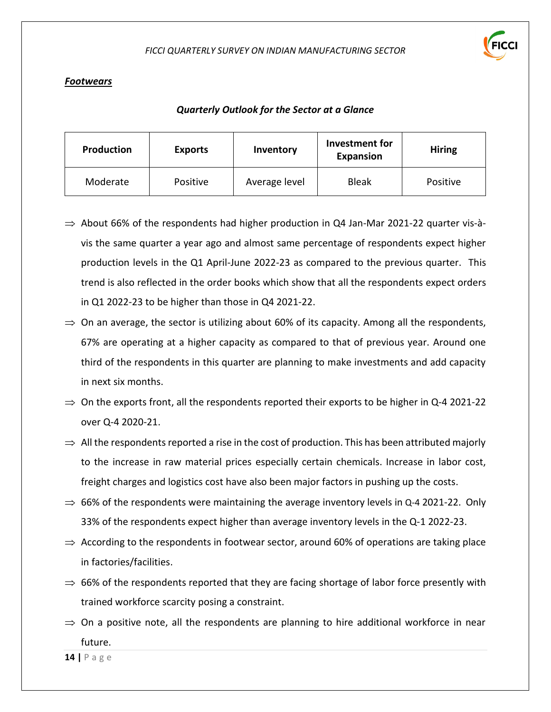

# *Footwears*

### *Quarterly Outlook for the Sector at a Glance*

| Production | <b>Exports</b> | Inventory     | Investment for<br><b>Expansion</b> | <b>Hiring</b> |
|------------|----------------|---------------|------------------------------------|---------------|
| Moderate   | Positive       | Average level | <b>Bleak</b>                       | Positive      |

- $\Rightarrow$  About 66% of the respondents had higher production in Q4 Jan-Mar 2021-22 quarter vis-àvis the same quarter a year ago and almost same percentage of respondents expect higher production levels in the Q1 April-June 2022-23 as compared to the previous quarter. This trend is also reflected in the order books which show that all the respondents expect orders in Q1 2022-23 to be higher than those in Q4 2021-22.
- $\Rightarrow$  On an average, the sector is utilizing about 60% of its capacity. Among all the respondents, 67% are operating at a higher capacity as compared to that of previous year. Around one third of the respondents in this quarter are planning to make investments and add capacity in next six months.
- $\Rightarrow$  On the exports front, all the respondents reported their exports to be higher in Q-4 2021-22 over Q-4 2020-21.
- $\Rightarrow$  All the respondents reported a rise in the cost of production. This has been attributed majorly to the increase in raw material prices especially certain chemicals. Increase in labor cost, freight charges and logistics cost have also been major factors in pushing up the costs.
- $\Rightarrow$  66% of the respondents were maintaining the average inventory levels in Q-4 2021-22. Only 33% of the respondents expect higher than average inventory levels in the Q-1 2022-23.
- $\Rightarrow$  According to the respondents in footwear sector, around 60% of operations are taking place in factories/facilities.
- $\Rightarrow$  66% of the respondents reported that they are facing shortage of labor force presently with trained workforce scarcity posing a constraint.
- $\Rightarrow$  On a positive note, all the respondents are planning to hire additional workforce in near future.

**14 |** P a g e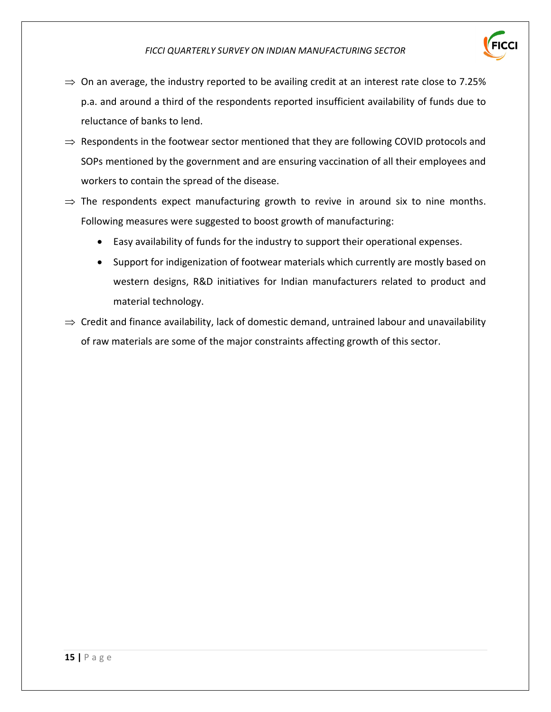

- $\Rightarrow$  On an average, the industry reported to be availing credit at an interest rate close to 7.25% p.a. and around a third of the respondents reported insufficient availability of funds due to reluctance of banks to lend.
- $\Rightarrow$  Respondents in the footwear sector mentioned that they are following COVID protocols and SOPs mentioned by the government and are ensuring vaccination of all their employees and workers to contain the spread of the disease.
- $\Rightarrow$  The respondents expect manufacturing growth to revive in around six to nine months. Following measures were suggested to boost growth of manufacturing:
	- Easy availability of funds for the industry to support their operational expenses.
	- Support for indigenization of footwear materials which currently are mostly based on western designs, R&D initiatives for Indian manufacturers related to product and material technology.
- $\Rightarrow$  Credit and finance availability, lack of domestic demand, untrained labour and unavailability of raw materials are some of the major constraints affecting growth of this sector.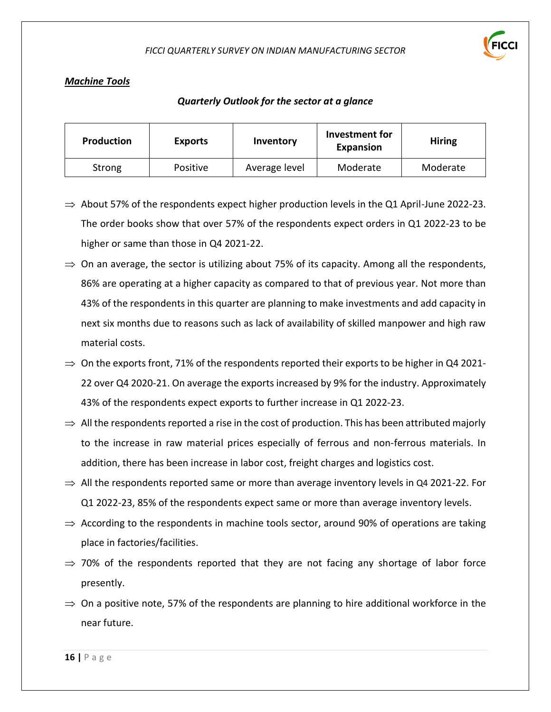

# *Machine Tools*

| Production | <b>Exports</b>  | Inventory     | Investment for<br>Expansion | <b>Hiring</b> |
|------------|-----------------|---------------|-----------------------------|---------------|
| Strong     | <b>Positive</b> | Average level | Moderate                    | Moderate      |

- $\Rightarrow$  About 57% of the respondents expect higher production levels in the Q1 April-June 2022-23. The order books show that over 57% of the respondents expect orders in Q1 2022-23 to be higher or same than those in Q4 2021-22.
- $\Rightarrow$  On an average, the sector is utilizing about 75% of its capacity. Among all the respondents, 86% are operating at a higher capacity as compared to that of previous year. Not more than 43% of the respondents in this quarter are planning to make investments and add capacity in next six months due to reasons such as lack of availability of skilled manpower and high raw material costs.
- $\Rightarrow$  On the exports front, 71% of the respondents reported their exports to be higher in Q4 2021-22 over Q4 2020-21. On average the exports increased by 9% for the industry. Approximately 43% of the respondents expect exports to further increase in Q1 2022-23.
- $\Rightarrow$  All the respondents reported a rise in the cost of production. This has been attributed majorly to the increase in raw material prices especially of ferrous and non-ferrous materials. In addition, there has been increase in labor cost, freight charges and logistics cost.
- $\Rightarrow$  All the respondents reported same or more than average inventory levels in Q4 2021-22. For Q1 2022-23, 85% of the respondents expect same or more than average inventory levels.
- $\Rightarrow$  According to the respondents in machine tools sector, around 90% of operations are taking place in factories/facilities.
- $\Rightarrow$  70% of the respondents reported that they are not facing any shortage of labor force presently.
- $\Rightarrow$  On a positive note, 57% of the respondents are planning to hire additional workforce in the near future.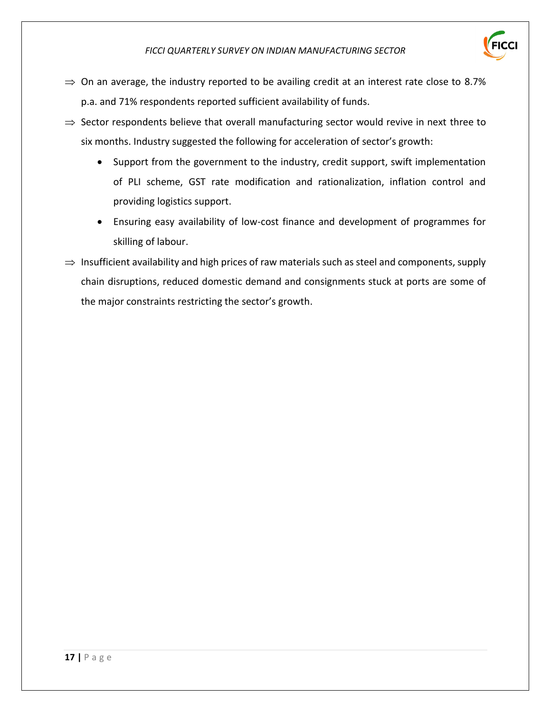

- $\Rightarrow$  On an average, the industry reported to be availing credit at an interest rate close to 8.7% p.a. and 71% respondents reported sufficient availability of funds.
- $\Rightarrow$  Sector respondents believe that overall manufacturing sector would revive in next three to six months. Industry suggested the following for acceleration of sector's growth:
	- Support from the government to the industry, credit support, swift implementation of PLI scheme, GST rate modification and rationalization, inflation control and providing logistics support.
	- Ensuring easy availability of low-cost finance and development of programmes for skilling of labour.
- $\Rightarrow$  Insufficient availability and high prices of raw materials such as steel and components, supply chain disruptions, reduced domestic demand and consignments stuck at ports are some of the major constraints restricting the sector's growth.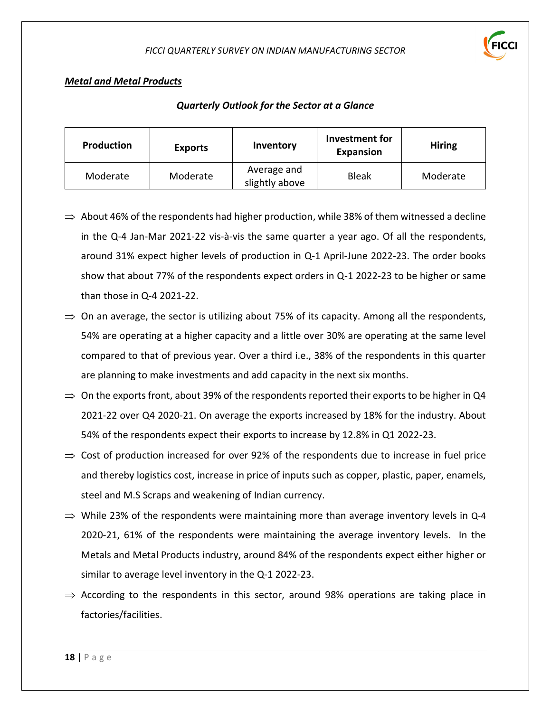

# *Metal and Metal Products*

| <b>Production</b> | <b>Exports</b> | Inventory                     | Investment for<br>Expansion | <b>Hiring</b> |
|-------------------|----------------|-------------------------------|-----------------------------|---------------|
| Moderate          | Moderate       | Average and<br>slightly above | <b>Bleak</b>                | Moderate      |

- $\Rightarrow$  About 46% of the respondents had higher production, while 38% of them witnessed a decline in the Q-4 Jan-Mar 2021-22 vis-à-vis the same quarter a year ago. Of all the respondents, around 31% expect higher levels of production in Q-1 April-June 2022-23. The order books show that about 77% of the respondents expect orders in Q-1 2022-23 to be higher or same than those in Q-4 2021-22.
- $\Rightarrow$  On an average, the sector is utilizing about 75% of its capacity. Among all the respondents, 54% are operating at a higher capacity and a little over 30% are operating at the same level compared to that of previous year. Over a third i.e., 38% of the respondents in this quarter are planning to make investments and add capacity in the next six months.
- $\Rightarrow$  On the exports front, about 39% of the respondents reported their exports to be higher in Q4 2021-22 over Q4 2020-21. On average the exports increased by 18% for the industry. About 54% of the respondents expect their exports to increase by 12.8% in Q1 2022-23.
- $\Rightarrow$  Cost of production increased for over 92% of the respondents due to increase in fuel price and thereby logistics cost, increase in price of inputs such as copper, plastic, paper, enamels, steel and M.S Scraps and weakening of Indian currency.
- $\Rightarrow$  While 23% of the respondents were maintaining more than average inventory levels in Q-4 2020-21, 61% of the respondents were maintaining the average inventory levels. In the Metals and Metal Products industry, around 84% of the respondents expect either higher or similar to average level inventory in the Q-1 2022-23.
- $\Rightarrow$  According to the respondents in this sector, around 98% operations are taking place in factories/facilities.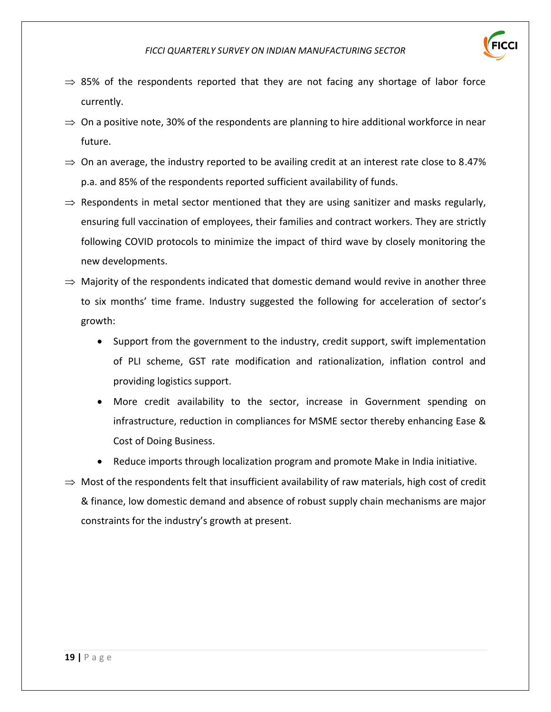

- $\Rightarrow$  85% of the respondents reported that they are not facing any shortage of labor force currently.
- $\Rightarrow$  On a positive note, 30% of the respondents are planning to hire additional workforce in near future.
- $\Rightarrow$  On an average, the industry reported to be availing credit at an interest rate close to 8.47% p.a. and 85% of the respondents reported sufficient availability of funds.
- $\Rightarrow$  Respondents in metal sector mentioned that they are using sanitizer and masks regularly, ensuring full vaccination of employees, their families and contract workers. They are strictly following COVID protocols to minimize the impact of third wave by closely monitoring the new developments.
- $\Rightarrow$  Majority of the respondents indicated that domestic demand would revive in another three to six months' time frame. Industry suggested the following for acceleration of sector's growth:
	- Support from the government to the industry, credit support, swift implementation of PLI scheme, GST rate modification and rationalization, inflation control and providing logistics support.
	- More credit availability to the sector, increase in Government spending on infrastructure, reduction in compliances for MSME sector thereby enhancing Ease & Cost of Doing Business.
	- Reduce imports through localization program and promote Make in India initiative.
- $\Rightarrow$  Most of the respondents felt that insufficient availability of raw materials, high cost of credit & finance, low domestic demand and absence of robust supply chain mechanisms are major constraints for the industry's growth at present.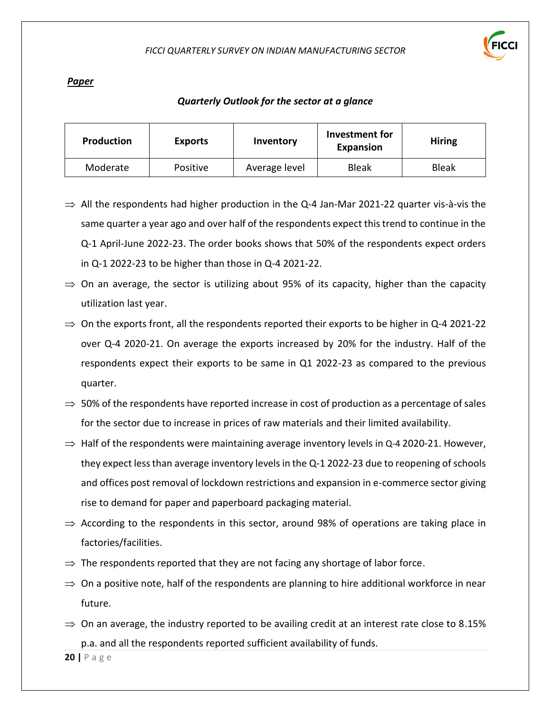

#### *Paper*

#### *Quarterly Outlook for the sector at a glance*

| Production | <b>Exports</b> | Inventory     | Investment for<br><b>Expansion</b> | <b>Hiring</b> |
|------------|----------------|---------------|------------------------------------|---------------|
| Moderate   | Positive       | Average level | <b>Bleak</b>                       | <b>Bleak</b>  |

- $\Rightarrow$  All the respondents had higher production in the Q-4 Jan-Mar 2021-22 quarter vis-à-vis the same quarter a year ago and over half of the respondents expect this trend to continue in the Q-1 April-June 2022-23. The order books shows that 50% of the respondents expect orders in Q-1 2022-23 to be higher than those in Q-4 2021-22.
- $\Rightarrow$  On an average, the sector is utilizing about 95% of its capacity, higher than the capacity utilization last year.
- $\Rightarrow$  On the exports front, all the respondents reported their exports to be higher in Q-4 2021-22 over Q-4 2020-21. On average the exports increased by 20% for the industry. Half of the respondents expect their exports to be same in Q1 2022-23 as compared to the previous quarter.
- $\Rightarrow$  50% of the respondents have reported increase in cost of production as a percentage of sales for the sector due to increase in prices of raw materials and their limited availability.
- $\Rightarrow$  Half of the respondents were maintaining average inventory levels in Q-4 2020-21. However, they expect less than average inventory levels in the Q-1 2022-23 due to reopening of schools and offices post removal of lockdown restrictions and expansion in e-commerce sector giving rise to demand for paper and paperboard packaging material.
- $\Rightarrow$  According to the respondents in this sector, around 98% of operations are taking place in factories/facilities.
- $\Rightarrow$  The respondents reported that they are not facing any shortage of labor force.
- $\Rightarrow$  On a positive note, half of the respondents are planning to hire additional workforce in near future.
- $\Rightarrow$  On an average, the industry reported to be availing credit at an interest rate close to 8.15% p.a. and all the respondents reported sufficient availability of funds.

**20 |** P a g e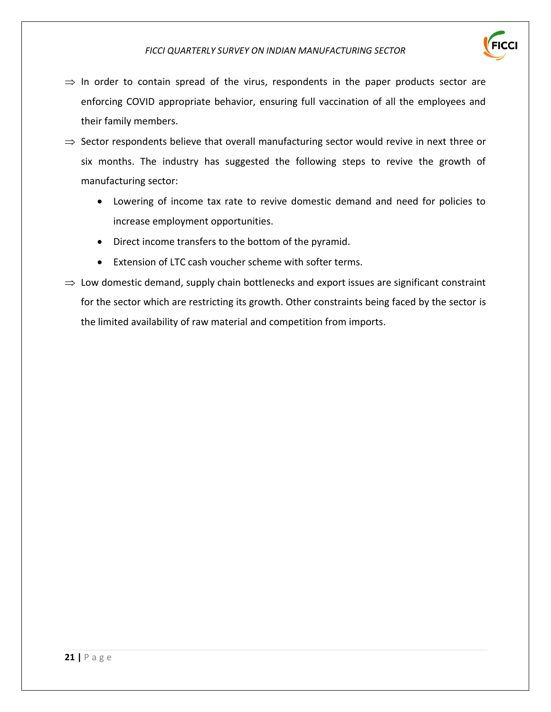

- $\Rightarrow$  In order to contain spread of the virus, respondents in the paper products sector are enforcing COVID appropriate behavior, ensuring full vaccination of all the employees and their family members.
- $\Rightarrow$  Sector respondents believe that overall manufacturing sector would revive in next three or six months. The industry has suggested the following steps to revive the growth of manufacturing sector:
	- Lowering of income tax rate to revive domestic demand and need for policies to increase employment opportunities.
	- Direct income transfers to the bottom of the pyramid.
	- Extension of LTC cash voucher scheme with softer terms.
- $\Rightarrow$  Low domestic demand, supply chain bottlenecks and export issues are significant constraint for the sector which are restricting its growth. Other constraints being faced by the sector is the limited availability of raw material and competition from imports.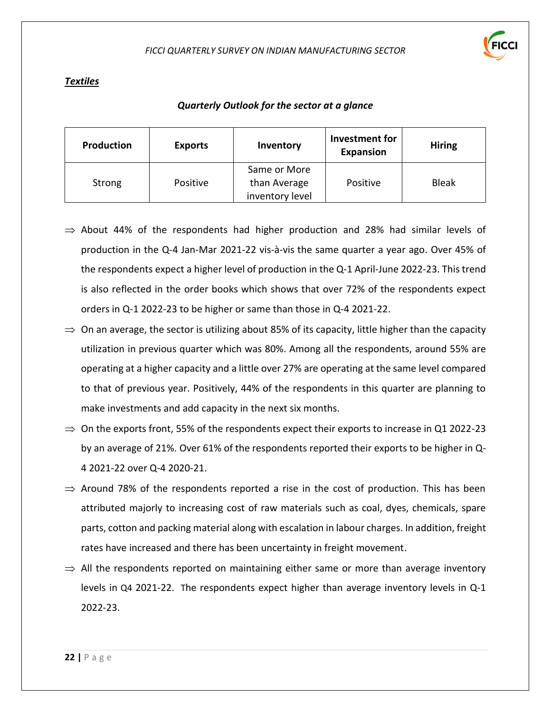

#### *Textiles*

| Production | <b>Exports</b> | Inventory                                       | Investment for<br><b>Expansion</b> | <b>Hiring</b> |
|------------|----------------|-------------------------------------------------|------------------------------------|---------------|
| Strong     | Positive       | Same or More<br>than Average<br>inventory level | Positive                           | <b>Bleak</b>  |

- $\Rightarrow$  About 44% of the respondents had higher production and 28% had similar levels of production in the Q-4 Jan-Mar 2021-22 vis-à-vis the same quarter a year ago. Over 45% of the respondents expect a higher level of production in the Q-1 April-June 2022-23. This trend is also reflected in the order books which shows that over 72% of the respondents expect orders in Q-1 2022-23 to be higher or same than those in Q-4 2021-22.
- $\Rightarrow$  On an average, the sector is utilizing about 85% of its capacity, little higher than the capacity utilization in previous quarter which was 80%. Among all the respondents, around 55% are operating at a higher capacity and a little over 27% are operating at the same level compared to that of previous year. Positively, 44% of the respondents in this quarter are planning to make investments and add capacity in the next six months.
- $\Rightarrow$  On the exports front, 55% of the respondents expect their exports to increase in Q1 2022-23 by an average of 21%. Over 61% of the respondents reported their exports to be higher in Q-4 2021-22 over Q-4 2020-21.
- $\Rightarrow$  Around 78% of the respondents reported a rise in the cost of production. This has been attributed majorly to increasing cost of raw materials such as coal, dyes, chemicals, spare parts, cotton and packing material along with escalation in labour charges. In addition, freight rates have increased and there has been uncertainty in freight movement.
- $\Rightarrow$  All the respondents reported on maintaining either same or more than average inventory levels in Q4 2021-22. The respondents expect higher than average inventory levels in Q-1 2022-23.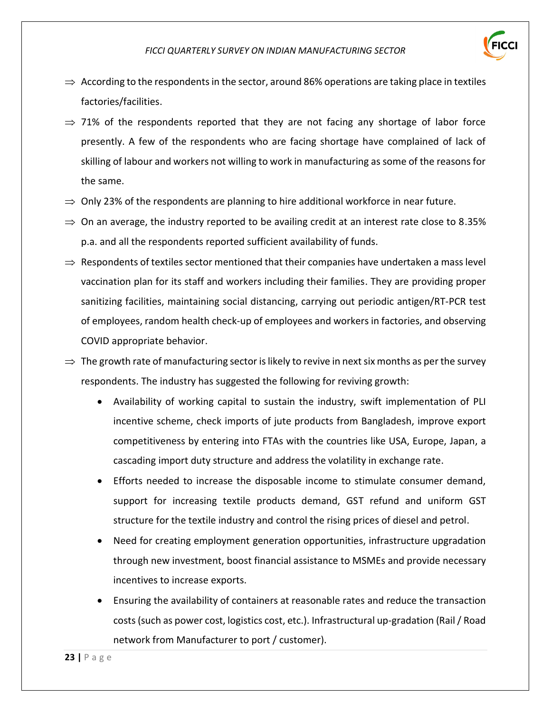

- $\Rightarrow$  According to the respondents in the sector, around 86% operations are taking place in textiles factories/facilities.
- $\Rightarrow$  71% of the respondents reported that they are not facing any shortage of labor force presently. A few of the respondents who are facing shortage have complained of lack of skilling of labour and workers not willing to work in manufacturing as some of the reasons for the same.
- $\Rightarrow$  Only 23% of the respondents are planning to hire additional workforce in near future.
- $\Rightarrow$  On an average, the industry reported to be availing credit at an interest rate close to 8.35% p.a. and all the respondents reported sufficient availability of funds.
- $\Rightarrow$  Respondents of textiles sector mentioned that their companies have undertaken a mass level vaccination plan for its staff and workers including their families. They are providing proper sanitizing facilities, maintaining social distancing, carrying out periodic antigen/RT-PCR test of employees, random health check-up of employees and workers in factories, and observing COVID appropriate behavior.
- $\Rightarrow$  The growth rate of manufacturing sector is likely to revive in next six months as per the survey respondents. The industry has suggested the following for reviving growth:
	- Availability of working capital to sustain the industry, swift implementation of PLI incentive scheme, check imports of jute products from Bangladesh, improve export competitiveness by entering into FTAs with the countries like USA, Europe, Japan, a cascading import duty structure and address the volatility in exchange rate.
	- Efforts needed to increase the disposable income to stimulate consumer demand, support for increasing textile products demand, GST refund and uniform GST structure for the textile industry and control the rising prices of diesel and petrol.
	- Need for creating employment generation opportunities, infrastructure upgradation through new investment, boost financial assistance to MSMEs and provide necessary incentives to increase exports.
	- Ensuring the availability of containers at reasonable rates and reduce the transaction costs (such as power cost, logistics cost, etc.). Infrastructural up-gradation (Rail / Road network from Manufacturer to port / customer).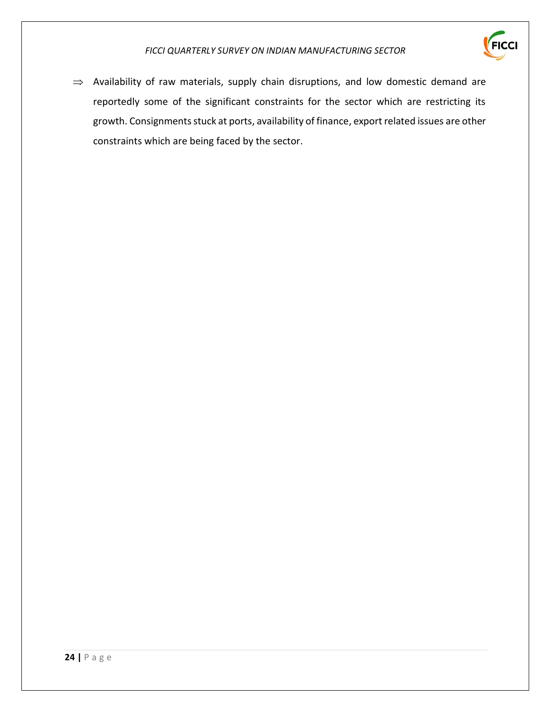

 $\Rightarrow$  Availability of raw materials, supply chain disruptions, and low domestic demand are reportedly some of the significant constraints for the sector which are restricting its growth. Consignments stuck at ports, availability of finance, export related issues are other constraints which are being faced by the sector.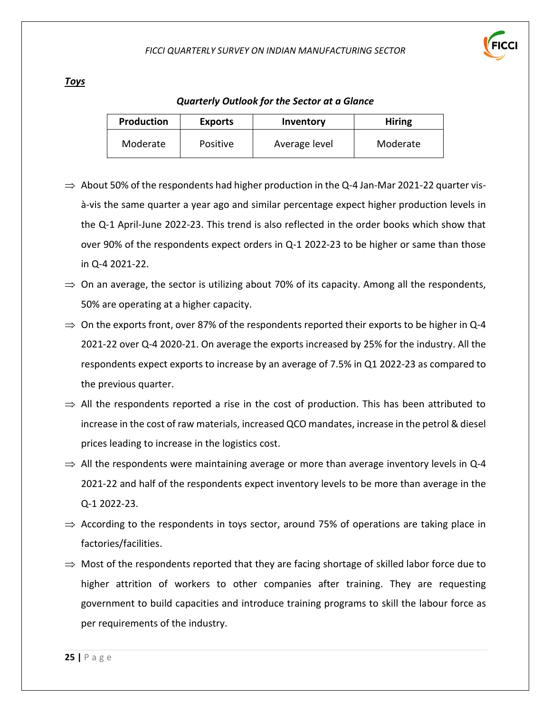

#### *Toys*

| <b>Production</b> | <b>Exports</b>  | Inventory     | <b>Hiring</b> |
|-------------------|-----------------|---------------|---------------|
| Moderate          | <b>Positive</b> | Average level | Moderate      |

- $\Rightarrow$  About 50% of the respondents had higher production in the Q-4 Jan-Mar 2021-22 quarter visà-vis the same quarter a year ago and similar percentage expect higher production levels in the Q-1 April-June 2022-23. This trend is also reflected in the order books which show that over 90% of the respondents expect orders in Q-1 2022-23 to be higher or same than those in Q-4 2021-22.
- $\Rightarrow$  On an average, the sector is utilizing about 70% of its capacity. Among all the respondents, 50% are operating at a higher capacity.
- $\Rightarrow$  On the exports front, over 87% of the respondents reported their exports to be higher in Q-4 2021-22 over Q-4 2020-21. On average the exports increased by 25% for the industry. All the respondents expect exports to increase by an average of 7.5% in Q1 2022-23 as compared to the previous quarter.
- $\Rightarrow$  All the respondents reported a rise in the cost of production. This has been attributed to increase in the cost of raw materials, increased QCO mandates, increase in the petrol & diesel prices leading to increase in the logistics cost.
- $\Rightarrow$  All the respondents were maintaining average or more than average inventory levels in Q-4 2021-22 and half of the respondents expect inventory levels to be more than average in the Q-1 2022-23.
- $\Rightarrow$  According to the respondents in toys sector, around 75% of operations are taking place in factories/facilities.
- $\Rightarrow$  Most of the respondents reported that they are facing shortage of skilled labor force due to higher attrition of workers to other companies after training. They are requesting government to build capacities and introduce training programs to skill the labour force as per requirements of the industry.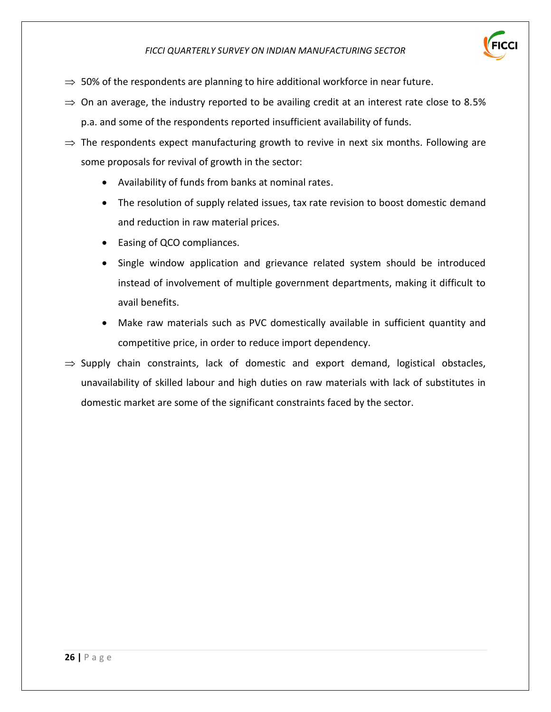

- $\Rightarrow$  50% of the respondents are planning to hire additional workforce in near future.
- $\Rightarrow$  On an average, the industry reported to be availing credit at an interest rate close to 8.5% p.a. and some of the respondents reported insufficient availability of funds.
- $\Rightarrow$  The respondents expect manufacturing growth to revive in next six months. Following are some proposals for revival of growth in the sector:
	- Availability of funds from banks at nominal rates.
	- The resolution of supply related issues, tax rate revision to boost domestic demand and reduction in raw material prices.
	- Easing of QCO compliances.
	- Single window application and grievance related system should be introduced instead of involvement of multiple government departments, making it difficult to avail benefits.
	- Make raw materials such as PVC domestically available in sufficient quantity and competitive price, in order to reduce import dependency.
- $\Rightarrow$  Supply chain constraints, lack of domestic and export demand, logistical obstacles, unavailability of skilled labour and high duties on raw materials with lack of substitutes in domestic market are some of the significant constraints faced by the sector.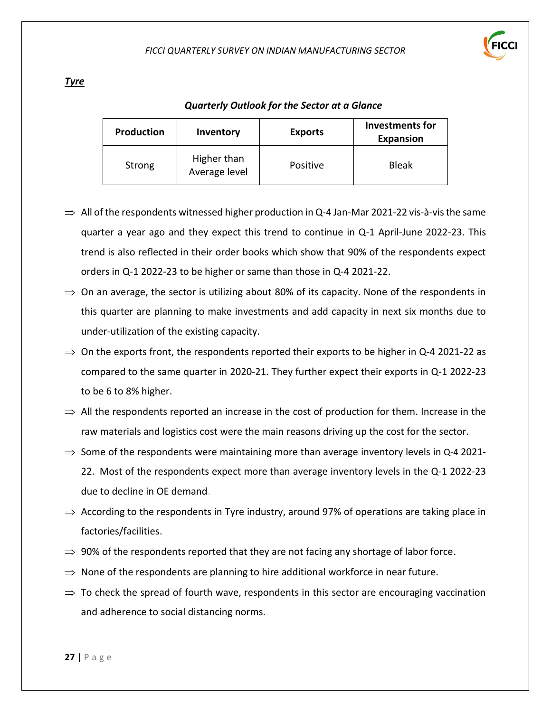

#### *Tyre*

| Production | Inventory                    | <b>Exports</b> | <b>Investments for</b><br><b>Expansion</b> |
|------------|------------------------------|----------------|--------------------------------------------|
| Strong     | Higher than<br>Average level | Positive       | <b>Bleak</b>                               |

- $\Rightarrow$  All of the respondents witnessed higher production in Q-4 Jan-Mar 2021-22 vis-à-vis the same quarter a year ago and they expect this trend to continue in Q-1 April-June 2022-23. This trend is also reflected in their order books which show that 90% of the respondents expect orders in Q-1 2022-23 to be higher or same than those in Q-4 2021-22.
- $\Rightarrow$  On an average, the sector is utilizing about 80% of its capacity. None of the respondents in this quarter are planning to make investments and add capacity in next six months due to under-utilization of the existing capacity.
- $\Rightarrow$  On the exports front, the respondents reported their exports to be higher in Q-4 2021-22 as compared to the same quarter in 2020-21. They further expect their exports in Q-1 2022-23 to be 6 to 8% higher.
- $\Rightarrow$  All the respondents reported an increase in the cost of production for them. Increase in the raw materials and logistics cost were the main reasons driving up the cost for the sector.
- $\Rightarrow$  Some of the respondents were maintaining more than average inventory levels in Q-4 2021-22. Most of the respondents expect more than average inventory levels in the Q-1 2022-23 due to decline in OE demand.
- $\Rightarrow$  According to the respondents in Tyre industry, around 97% of operations are taking place in factories/facilities.
- $\Rightarrow$  90% of the respondents reported that they are not facing any shortage of labor force.
- $\Rightarrow$  None of the respondents are planning to hire additional workforce in near future.
- $\Rightarrow$  To check the spread of fourth wave, respondents in this sector are encouraging vaccination and adherence to social distancing norms.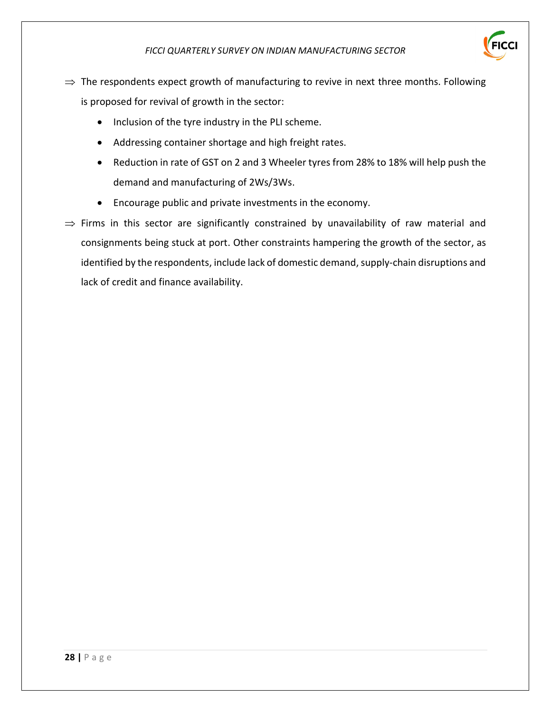- $\Rightarrow$  The respondents expect growth of manufacturing to revive in next three months. Following is proposed for revival of growth in the sector:
	- Inclusion of the tyre industry in the PLI scheme.
	- Addressing container shortage and high freight rates.
	- Reduction in rate of GST on 2 and 3 Wheeler tyres from 28% to 18% will help push the demand and manufacturing of 2Ws/3Ws.
	- Encourage public and private investments in the economy.
- $\Rightarrow$  Firms in this sector are significantly constrained by unavailability of raw material and consignments being stuck at port. Other constraints hampering the growth of the sector, as identified by the respondents, include lack of domestic demand, supply-chain disruptions and lack of credit and finance availability.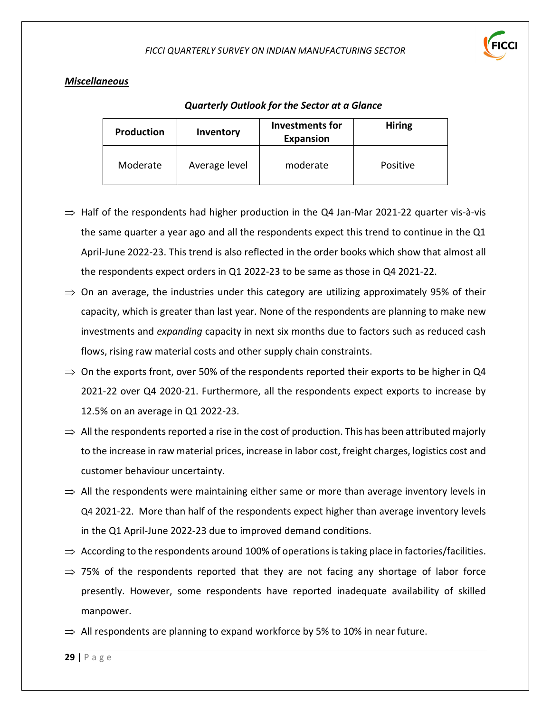

# *Miscellaneous*

| <b>Production</b> | Inventory     | Investments for<br>Expansion | <b>Hiring</b>   |
|-------------------|---------------|------------------------------|-----------------|
| Moderate          | Average level | moderate                     | <b>Positive</b> |

- $\Rightarrow$  Half of the respondents had higher production in the Q4 Jan-Mar 2021-22 quarter vis-à-vis the same quarter a year ago and all the respondents expect this trend to continue in the Q1 April-June 2022-23. This trend is also reflected in the order books which show that almost all the respondents expect orders in Q1 2022-23 to be same as those in Q4 2021-22.
- $\Rightarrow$  On an average, the industries under this category are utilizing approximately 95% of their capacity, which is greater than last year*.* None of the respondents are planning to make new investments and *expanding* capacity in next six months due to factors such as reduced cash flows, rising raw material costs and other supply chain constraints.
- $\Rightarrow$  On the exports front, over 50% of the respondents reported their exports to be higher in Q4 2021-22 over Q4 2020-21. Furthermore, all the respondents expect exports to increase by 12.5% on an average in Q1 2022-23.
- $\Rightarrow$  All the respondents reported a rise in the cost of production. This has been attributed majorly to the increase in raw material prices, increase in labor cost, freight charges, logistics cost and customer behaviour uncertainty.
- $\Rightarrow$  All the respondents were maintaining either same or more than average inventory levels in Q4 2021-22. More than half of the respondents expect higher than average inventory levels in the Q1 April-June 2022-23 due to improved demand conditions.
- $\Rightarrow$  According to the respondents around 100% of operations is taking place in factories/facilities.
- $\Rightarrow$  75% of the respondents reported that they are not facing any shortage of labor force presently. However, some respondents have reported inadequate availability of skilled manpower.
- $\Rightarrow$  All respondents are planning to expand workforce by 5% to 10% in near future.